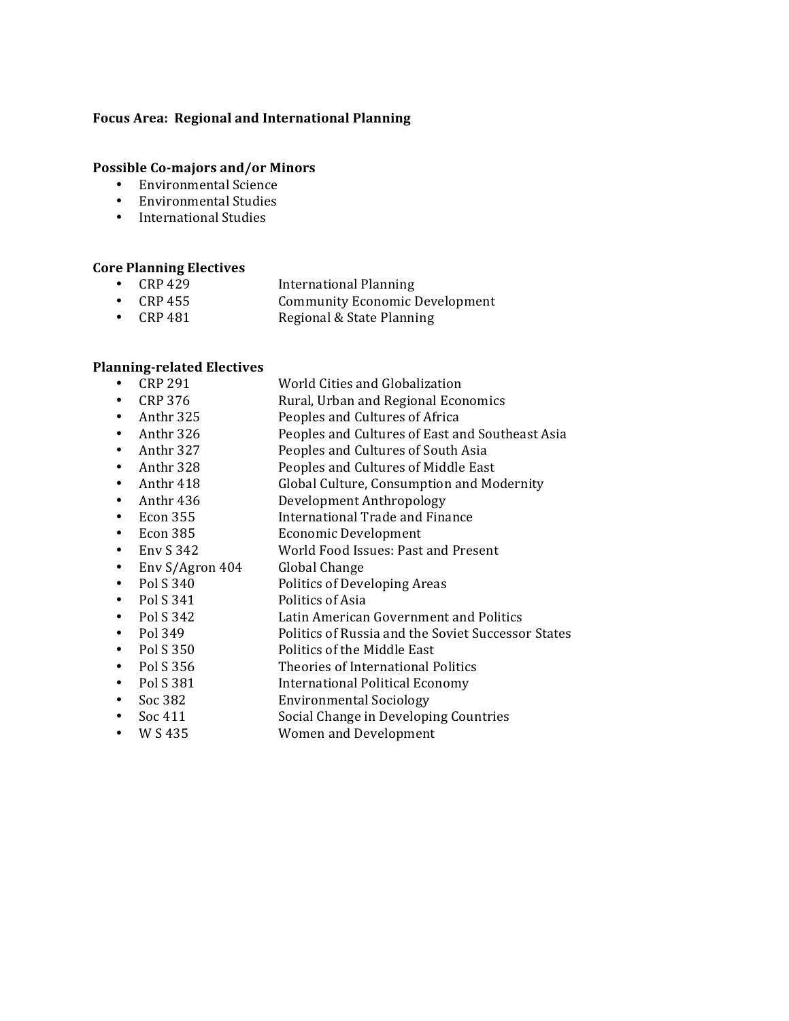### Focus Area: Regional and International Planning

### Possible Co-majors and/or Minors

- Environmental Science
- Environmental Studies
- International Studies

#### **Core Planning Electives**

- CRP 429 International Planning<br>• CRP 455 Community Economic I
- Community Economic Development
- CRP 481 Regional & State Planning

### **Planning-related Electives**

- CRP 291 World Cities and Globalization<br>• CRP 376 Rural, Urban and Regional Ecor • CRP 376 Rural, Urban and Regional Economics • Anthr 325 Peoples and Cultures of Africa • Anthr 326 Peoples and Cultures of East and Southeast Asia<br>• Anthr 327 Peoples and Cultures of South Asia • Anthr 327 Peoples and Cultures of South Asia<br>• Anthr 328 Peoples and Cultures of Middle East Anthr 328 Peoples and Cultures of Middle East<br>Anthr 418 Global Culture. Consumption and Mo
- Global Culture, Consumption and Modernity
- Anthr 436 Development Anthropology
- **Econ 355** International Trade and Finance
- Econ 385 Economic Development<br>• Env S 342 World Food Issues: Past
- World Food Issues: Past and Present<br>Global Change
- Env  $S/Agron 404$ <br>• Pol S 340
- Politics of Developing Areas
- Pol S 341 Politics of Asia
- 
- Pol S 342 Latin American Government and Politics<br>Pol 349 Politics of Russia and the Soviet Successo Politics of Russia and the Soviet Successor States
- 
- Pol S 350 Politics of the Middle East<br>• Pol S 356 Theories of International F Theories of International Politics
- Pol S 381 International Political Economy
- Soc 382 **Environmental Sociology**
- Soc 411 Social Change in Developing Countries<br>• W S 435 Women and Development
- Women and Development